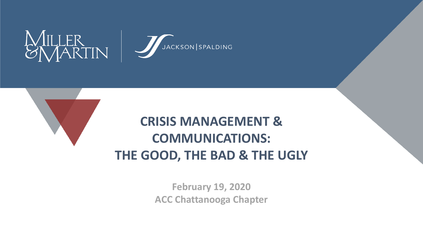

#### **CRISIS MANAGEMENT & COMMUNICATIONS: THE GOOD, THE BAD & THE UGLY**

**February 19, 2020 ACC Chattanooga Chapter**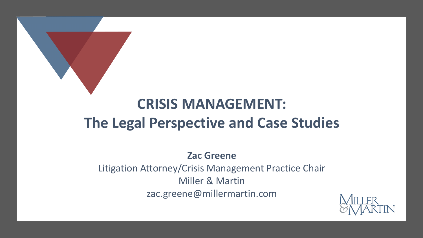

### **CRISIS MANAGEMENT: The Legal Perspective and Case Studies**

**Zac Greene** Litigation Attorney/Crisis Management Practice Chair Miller & Martin zac.greene@millermartin.com

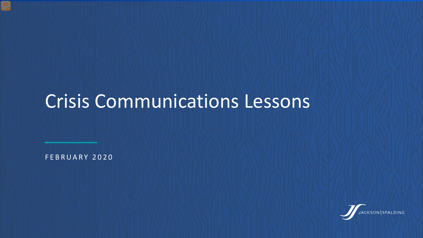## Crisis Communications Lessons

FEBRUARY 2020

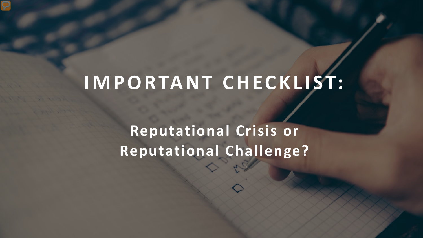# **IMPORTANT CHECKLIST:**

**Reputational Crisis or Reputational Challenge?**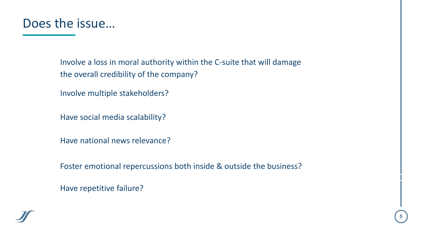

Involve a loss in moral authority within the C-suite that will damage the overall credibility of the company?

Involve multiple stakeholders?

Have social media scalability?

Have national news relevance?

Foster emotional repercussions both inside & outside the business?

Have repetitive failure?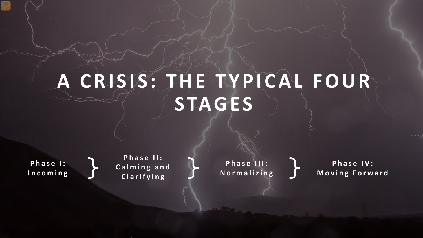# **A CRISIS: THE TYPICAL FOUR STAGES**

**Phase I: Incoming**

**Phase II: Calming and Clarifying**

**Phase III: Normalizing**

**Phase IV: Moving Forward**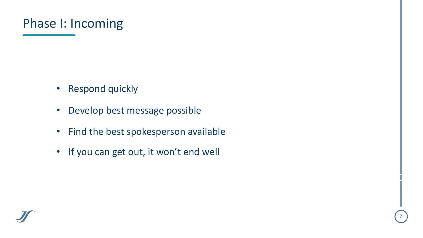#### Phase I: Incoming

- Respond quickly
- Develop best message possible
- Find the best spokesperson available
- If you can get out, it won't end well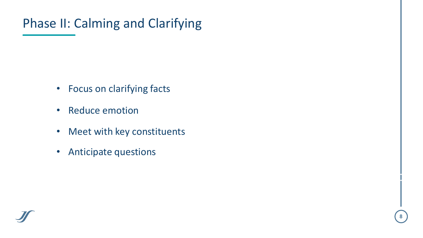#### Phase II: Calming and Clarifying

- Focus on clarifying facts
- Reduce emotion
- Meet with key constituents
- Anticipate questions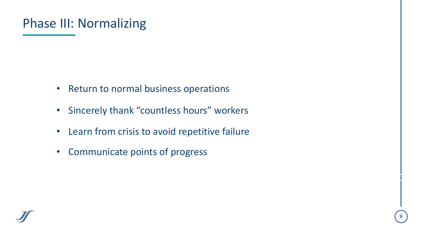#### Phase III: Normalizing

- Return to normal business operations
- Sincerely thank "countless hours" workers
- Learn from crisis to avoid repetitive failure
- Communicate points of progress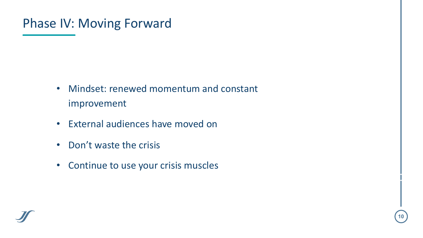#### Phase IV: Moving Forward

- Mindset: renewed momentum and constant improvement
- External audiences have moved on
- Don't waste the crisis
- Continue to use your crisis muscles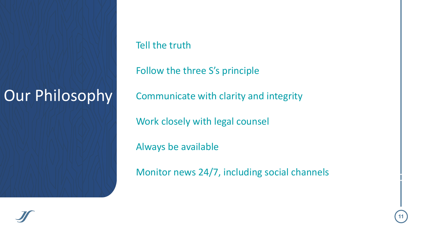## Our Philosophy

Tell the truth

Follow the three S's principle

Communicate with clarity and integrity

Work closely with legal counsel

Always be available

Monitor news 24/7, including social channels

**11**